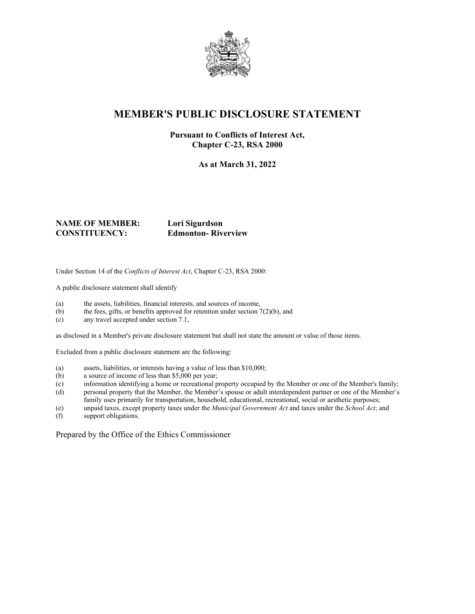

## **MEMBER'S PUBLIC DISCLOSURE STATEMENT**

#### **Pursuant to Conflicts of Interest Act, Chapter C-23, RSA 2000**

**As at March 31, 2022**

#### **NAME OF MEMBER: Lori Sigurdson CONSTITUENCY: Edmonton- Riverview**

Under Section 14 of the *Conflicts of Interest Act*, Chapter C-23, RSA 2000:

A public disclosure statement shall identify

- (a) the assets, liabilities, financial interests, and sources of income,
- (b) the fees, gifts, or benefits approved for retention under section  $7(2)(b)$ , and
- (c) any travel accepted under section 7.1,

as disclosed in a Member's private disclosure statement but shall not state the amount or value of those items.

Excluded from a public disclosure statement are the following:

- (a) assets, liabilities, or interests having a value of less than \$10,000;
- (b) a source of income of less than \$5,000 per year;
- (c) information identifying a home or recreational property occupied by the Member or one of the Member's family;
- (d) personal property that the Member, the Member's spouse or adult interdependent partner or one of the Member's family uses primarily for transportation, household, educational, recreational, social or aesthetic purposes;
- (e) unpaid taxes, except property taxes under the *Municipal Government Act* and taxes under the *School Act*; and
- support obligations.

Prepared by the Office of the Ethics Commissioner